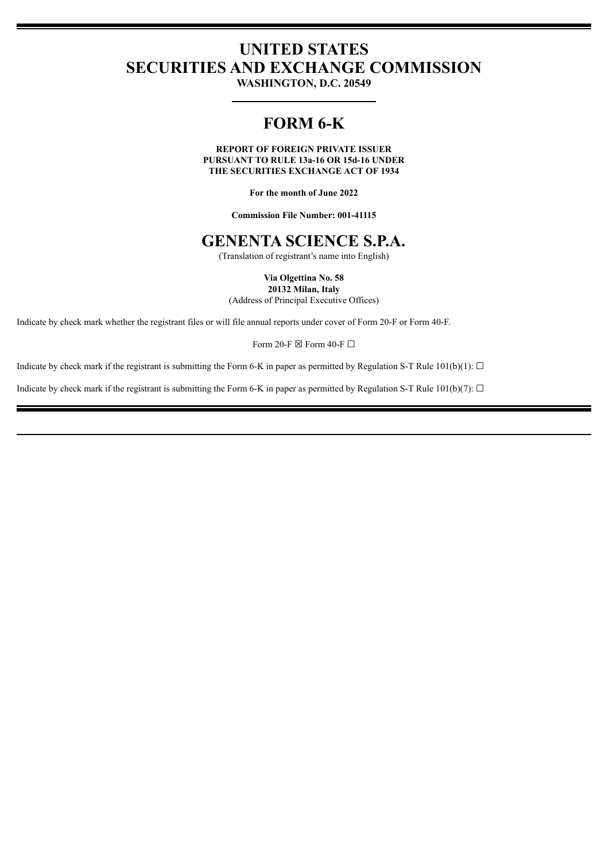# **UNITED STATES SECURITIES AND EXCHANGE COMMISSION**

**WASHINGTON, D.C. 20549**

# **FORM 6-K**

**REPORT OF FOREIGN PRIVATE ISSUER PURSUANT TO RULE 13a-16 OR 15d-16 UNDER THE SECURITIES EXCHANGE ACT OF 1934**

**For the month of June 2022**

**Commission File Number: 001-41115**

# **GENENTA SCIENCE S.P.A.**

(Translation of registrant's name into English)

#### **Via Olgettina No. 58 20132 Milan, Italy**

(Address of Principal Executive Offices)

Indicate by check mark whether the registrant files or will file annual reports under cover of Form 20-F or Form 40-F.

Form 20-F  $\boxtimes$  Form 40-F  $\Box$ 

Indicate by check mark if the registrant is submitting the Form 6-K in paper as permitted by Regulation S-T Rule 101(b)(1):  $\Box$ 

Indicate by check mark if the registrant is submitting the Form 6-K in paper as permitted by Regulation S-T Rule 101(b)(7):  $\Box$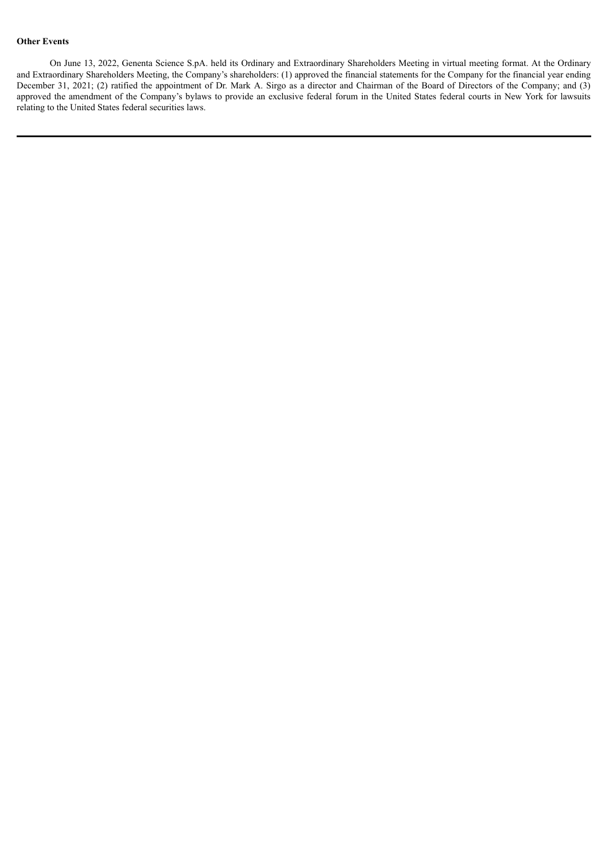### **Other Events**

On June 13, 2022, Genenta Science S.pA. held its Ordinary and Extraordinary Shareholders Meeting in virtual meeting format. At the Ordinary and Extraordinary Shareholders Meeting, the Company's shareholders: (1) approved the financial statements for the Company for the financial year ending December 31, 2021; (2) ratified the appointment of Dr. Mark A. Sirgo as a director and Chairman of the Board of Directors of the Company; and (3) approved the amendment of the Company's bylaws to provide an exclusive federal forum in the United States federal courts in New York for lawsuits relating to the United States federal securities laws.